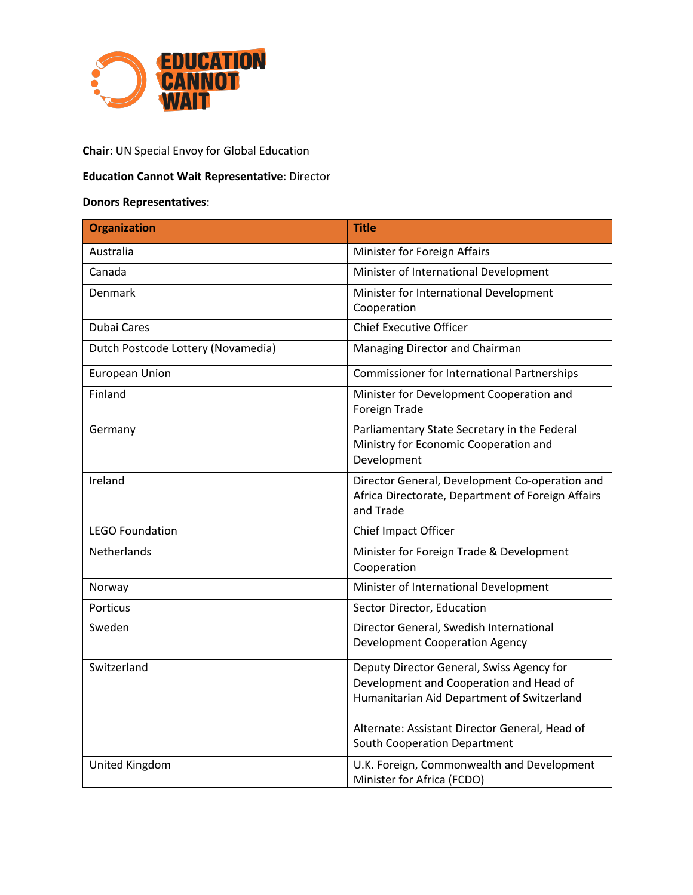

# **Chair**: UN Special Envoy for Global Education

## **Education Cannot Wait Representative**: Director

# **Donors Representatives**:

| <b>Organization</b>                | <b>Title</b>                                                                                                                                                                                                         |
|------------------------------------|----------------------------------------------------------------------------------------------------------------------------------------------------------------------------------------------------------------------|
| Australia                          | Minister for Foreign Affairs                                                                                                                                                                                         |
| Canada                             | Minister of International Development                                                                                                                                                                                |
| Denmark                            | Minister for International Development<br>Cooperation                                                                                                                                                                |
| <b>Dubai Cares</b>                 | <b>Chief Executive Officer</b>                                                                                                                                                                                       |
| Dutch Postcode Lottery (Novamedia) | Managing Director and Chairman                                                                                                                                                                                       |
| <b>European Union</b>              | <b>Commissioner for International Partnerships</b>                                                                                                                                                                   |
| Finland                            | Minister for Development Cooperation and<br>Foreign Trade                                                                                                                                                            |
| Germany                            | Parliamentary State Secretary in the Federal<br>Ministry for Economic Cooperation and<br>Development                                                                                                                 |
| Ireland                            | Director General, Development Co-operation and<br>Africa Directorate, Department of Foreign Affairs<br>and Trade                                                                                                     |
| <b>LEGO Foundation</b>             | Chief Impact Officer                                                                                                                                                                                                 |
| Netherlands                        | Minister for Foreign Trade & Development<br>Cooperation                                                                                                                                                              |
| Norway                             | Minister of International Development                                                                                                                                                                                |
| <b>Porticus</b>                    | Sector Director, Education                                                                                                                                                                                           |
| Sweden                             | Director General, Swedish International<br><b>Development Cooperation Agency</b>                                                                                                                                     |
| Switzerland                        | Deputy Director General, Swiss Agency for<br>Development and Cooperation and Head of<br>Humanitarian Aid Department of Switzerland<br>Alternate: Assistant Director General, Head of<br>South Cooperation Department |
| United Kingdom                     | U.K. Foreign, Commonwealth and Development<br>Minister for Africa (FCDO)                                                                                                                                             |